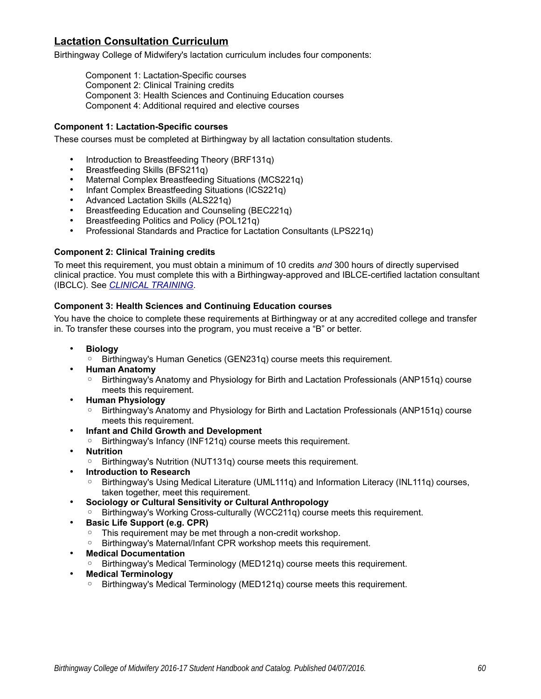# **Lactation Consultation Curriculum**

Birthingway College of Midwifery's lactation curriculum includes four components:

Component 1: Lactation-Specific courses Component 2: Clinical Training credits Component 3: Health Sciences and Continuing Education courses Component 4: Additional required and elective courses

## **Component 1: Lactation-Specific courses**

These courses must be completed at Birthingway by all lactation consultation students.

- Introduction to Breastfeeding Theory (BRF131q)
- Breastfeeding Skills (BFS211q)
- Maternal Complex Breastfeeding Situations (MCS221q)
- Infant Complex Breastfeeding Situations (ICS221q)
- Advanced Lactation Skills (ALS221q)
- Breastfeeding Education and Counseling (BEC221q)
- Breastfeeding Politics and Policy (POL121q)
- Professional Standards and Practice for Lactation Consultants (LPS221q)

### **Component 2: Clinical Training credits**

To meet this requirement, you must obtain a minimum of 10 credits *and* 300 hours of directly supervised clinical practice. You must complete this with a Birthingway-approved and IBLCE-certified lactation consultant (IBCLC). See *CLINICAL TRAINING*.

### **Component 3: Health Sciences and Continuing Education courses**

You have the choice to complete these requirements at Birthingway or at any accredited college and transfer in. To transfer these courses into the program, you must receive a "B" or better.

- **Biology**
	- Birthingway's Human Genetics (GEN231q) course meets this requirement.
- **Human Anatomy**
	- Birthingway's Anatomy and Physiology for Birth and Lactation Professionals (ANP151q) course meets this requirement.
- **Human Physiology**
	- Birthingway's Anatomy and Physiology for Birth and Lactation Professionals (ANP151q) course meets this requirement.
- **Infant and Child Growth and Development**
	- Birthingway's Infancy (INF121q) course meets this requirement.
- **Nutrition**
	- Birthingway's Nutrition (NUT131q) course meets this requirement.
- **Introduction to Research**
	- Birthingway's Using Medical Literature (UML111q) and Information Literacy (INL111q) courses, taken together, meet this requirement.
- **Sociology or Cultural Sensitivity or Cultural Anthropology**
	- Birthingway's Working Cross-culturally (WCC211q) course meets this requirement.
- **Basic Life Support (e.g. CPR)**
	- This requirement may be met through a non-credit workshop.
	- Birthingway's Maternal/Infant CPR workshop meets this requirement.
- **Medical Documentation**
	- Birthingway's Medical Terminology (MED121q) course meets this requirement.
- **Medical Terminology**
	- Birthingway's Medical Terminology (MED121q) course meets this requirement.